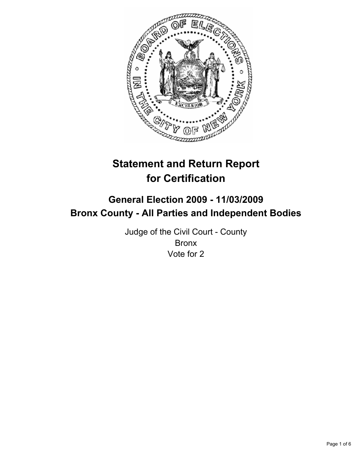

# **Statement and Return Report for Certification**

## **General Election 2009 - 11/03/2009 Bronx County - All Parties and Independent Bodies**

Judge of the Civil Court - County Bronx Vote for 2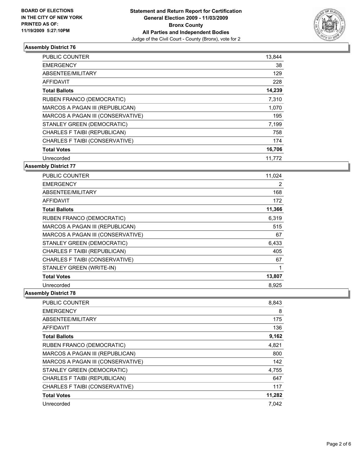

| <b>PUBLIC COUNTER</b>             | 13,844 |
|-----------------------------------|--------|
| <b>EMERGENCY</b>                  | 38     |
| ABSENTEE/MILITARY                 | 129    |
| <b>AFFIDAVIT</b>                  | 228    |
| <b>Total Ballots</b>              | 14,239 |
| RUBEN FRANCO (DEMOCRATIC)         | 7,310  |
| MARCOS A PAGAN III (REPUBLICAN)   | 1,070  |
| MARCOS A PAGAN III (CONSERVATIVE) | 195    |
| STANLEY GREEN (DEMOCRATIC)        | 7,199  |
| CHARLES F TAIBI (REPUBLICAN)      | 758    |
| CHARLES F TAIBI (CONSERVATIVE)    | 174    |
| <b>Total Votes</b>                | 16,706 |
| Unrecorded                        | 11,772 |

**Assembly District 77**

| <b>PUBLIC COUNTER</b>             | 11,024 |
|-----------------------------------|--------|
| <b>EMERGENCY</b>                  | 2      |
| ABSENTEE/MILITARY                 | 168    |
| <b>AFFIDAVIT</b>                  | 172    |
| <b>Total Ballots</b>              | 11,366 |
| <b>RUBEN FRANCO (DEMOCRATIC)</b>  | 6,319  |
| MARCOS A PAGAN III (REPUBLICAN)   | 515    |
| MARCOS A PAGAN III (CONSERVATIVE) | 67     |
| STANLEY GREEN (DEMOCRATIC)        | 6,433  |
| CHARLES F TAIBI (REPUBLICAN)      | 405    |
| CHARLES F TAIBI (CONSERVATIVE)    | 67     |
| STANLEY GREEN (WRITE-IN)          | 1      |
| <b>Total Votes</b>                | 13,807 |
| Unrecorded                        | 8,925  |

| <b>PUBLIC COUNTER</b>             | 8,843  |
|-----------------------------------|--------|
| <b>EMERGENCY</b>                  | 8      |
| ABSENTEE/MILITARY                 | 175    |
| <b>AFFIDAVIT</b>                  | 136    |
| <b>Total Ballots</b>              | 9,162  |
| <b>RUBEN FRANCO (DEMOCRATIC)</b>  | 4,821  |
| MARCOS A PAGAN III (REPUBLICAN)   | 800    |
| MARCOS A PAGAN III (CONSERVATIVE) | 142    |
| STANLEY GREEN (DEMOCRATIC)        | 4,755  |
| CHARLES F TAIBI (REPUBLICAN)      | 647    |
| CHARLES F TAIBI (CONSERVATIVE)    | 117    |
| <b>Total Votes</b>                | 11,282 |
| Unrecorded                        | 7.042  |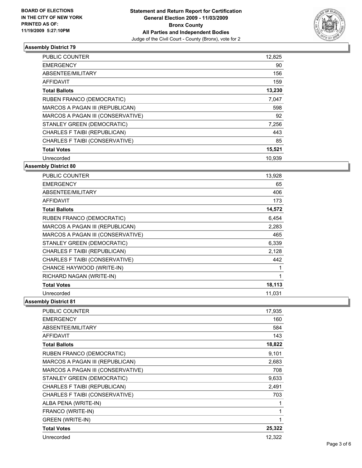

| <b>PUBLIC COUNTER</b>             | 12,825 |
|-----------------------------------|--------|
| <b>EMERGENCY</b>                  | 90     |
| ABSENTEE/MILITARY                 | 156    |
| <b>AFFIDAVIT</b>                  | 159    |
| <b>Total Ballots</b>              | 13,230 |
| <b>RUBEN FRANCO (DEMOCRATIC)</b>  | 7,047  |
| MARCOS A PAGAN III (REPUBLICAN)   | 598    |
| MARCOS A PAGAN III (CONSERVATIVE) | 92     |
| STANLEY GREEN (DEMOCRATIC)        | 7,256  |
| CHARLES F TAIBI (REPUBLICAN)      | 443    |
| CHARLES F TAIBI (CONSERVATIVE)    | 85     |
| <b>Total Votes</b>                | 15,521 |
| Unrecorded                        | 10,939 |

## **Assembly District 80**

| <b>PUBLIC COUNTER</b>             | 13,928 |
|-----------------------------------|--------|
| <b>EMERGENCY</b>                  | 65     |
| ABSENTEE/MILITARY                 | 406    |
| <b>AFFIDAVIT</b>                  | 173    |
| <b>Total Ballots</b>              | 14,572 |
| RUBEN FRANCO (DEMOCRATIC)         | 6,454  |
| MARCOS A PAGAN III (REPUBLICAN)   | 2,283  |
| MARCOS A PAGAN III (CONSERVATIVE) | 465    |
| STANLEY GREEN (DEMOCRATIC)        | 6,339  |
| CHARLES F TAIBI (REPUBLICAN)      | 2,128  |
| CHARLES F TAIBI (CONSERVATIVE)    | 442    |
| CHANCE HAYWOOD (WRITE-IN)         | 1      |
| RICHARD NAGAN (WRITE-IN)          | 1      |
| <b>Total Votes</b>                | 18,113 |
| Unrecorded                        | 11,031 |

| <b>PUBLIC COUNTER</b>             | 17,935 |
|-----------------------------------|--------|
| <b>EMERGENCY</b>                  | 160    |
| ABSENTEE/MILITARY                 | 584    |
| <b>AFFIDAVIT</b>                  | 143    |
| <b>Total Ballots</b>              | 18,822 |
| RUBEN FRANCO (DEMOCRATIC)         | 9,101  |
| MARCOS A PAGAN III (REPUBLICAN)   | 2,683  |
| MARCOS A PAGAN III (CONSERVATIVE) | 708    |
| STANLEY GREEN (DEMOCRATIC)        | 9,633  |
| CHARLES F TAIBI (REPUBLICAN)      | 2,491  |
| CHARLES F TAIBI (CONSERVATIVE)    | 703    |
| ALBA PENA (WRITE-IN)              | 1      |
| FRANCO (WRITE-IN)                 | 1      |
| <b>GREEN (WRITE-IN)</b>           | 1      |
| <b>Total Votes</b>                | 25,322 |
| Unrecorded                        | 12,322 |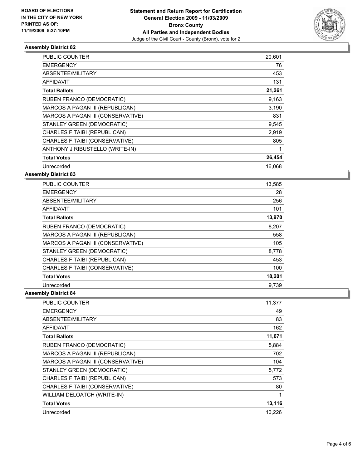

| <b>PUBLIC COUNTER</b>             | 20,601 |
|-----------------------------------|--------|
| <b>EMERGENCY</b>                  | 76     |
| ABSENTEE/MILITARY                 | 453    |
| <b>AFFIDAVIT</b>                  | 131    |
| <b>Total Ballots</b>              | 21,261 |
| <b>RUBEN FRANCO (DEMOCRATIC)</b>  | 9,163  |
| MARCOS A PAGAN III (REPUBLICAN)   | 3,190  |
| MARCOS A PAGAN III (CONSERVATIVE) | 831    |
| STANLEY GREEN (DEMOCRATIC)        | 9,545  |
| CHARLES F TAIBI (REPUBLICAN)      | 2,919  |
| CHARLES F TAIBI (CONSERVATIVE)    | 805    |
| ANTHONY J RIBUSTELLO (WRITE-IN)   | 1      |
| <b>Total Votes</b>                | 26,454 |
| Unrecorded                        | 16.068 |

**Assembly District 83**

| <b>PUBLIC COUNTER</b>             | 13,585 |
|-----------------------------------|--------|
| <b>EMERGENCY</b>                  | 28     |
| ABSENTEE/MILITARY                 | 256    |
| <b>AFFIDAVIT</b>                  | 101    |
| <b>Total Ballots</b>              | 13,970 |
| RUBEN FRANCO (DEMOCRATIC)         | 8,207  |
| MARCOS A PAGAN III (REPUBLICAN)   | 558    |
| MARCOS A PAGAN III (CONSERVATIVE) | 105    |
| STANLEY GREEN (DEMOCRATIC)        | 8,778  |
| CHARLES F TAIBI (REPUBLICAN)      | 453    |
| CHARLES F TAIBI (CONSERVATIVE)    | 100    |
| <b>Total Votes</b>                | 18,201 |
| Unrecorded                        | 9.739  |

| <b>PUBLIC COUNTER</b>             | 11,377 |
|-----------------------------------|--------|
| <b>EMERGENCY</b>                  | 49     |
| ABSENTEE/MILITARY                 | 83     |
| AFFIDAVIT                         | 162    |
| <b>Total Ballots</b>              | 11,671 |
| <b>RUBEN FRANCO (DEMOCRATIC)</b>  | 5,884  |
| MARCOS A PAGAN III (REPUBLICAN)   | 702    |
| MARCOS A PAGAN III (CONSERVATIVE) | 104    |
| STANLEY GREEN (DEMOCRATIC)        | 5,772  |
| CHARLES F TAIBI (REPUBLICAN)      | 573    |
| CHARLES F TAIBI (CONSERVATIVE)    | 80     |
| WILLIAM DELOATCH (WRITE-IN)       | 1      |
| <b>Total Votes</b>                | 13,116 |
| Unrecorded                        | 10,226 |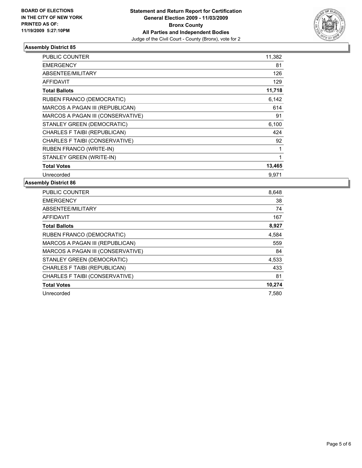

| <b>PUBLIC COUNTER</b>             | 11,382 |
|-----------------------------------|--------|
| <b>EMERGENCY</b>                  | 81     |
| ABSENTEE/MILITARY                 | 126    |
| <b>AFFIDAVIT</b>                  | 129    |
| <b>Total Ballots</b>              | 11,718 |
| RUBEN FRANCO (DEMOCRATIC)         | 6,142  |
| MARCOS A PAGAN III (REPUBLICAN)   | 614    |
| MARCOS A PAGAN III (CONSERVATIVE) | 91     |
| STANLEY GREEN (DEMOCRATIC)        | 6,100  |
| CHARLES F TAIBI (REPUBLICAN)      | 424    |
| CHARLES F TAIBI (CONSERVATIVE)    | 92     |
| <b>RUBEN FRANCO (WRITE-IN)</b>    | 1      |
| STANLEY GREEN (WRITE-IN)          | 1      |
| <b>Total Votes</b>                | 13,465 |
| Unrecorded                        | 9.971  |

| <b>PUBLIC COUNTER</b>             | 8,648  |
|-----------------------------------|--------|
| <b>EMERGENCY</b>                  | 38     |
| ABSENTEE/MILITARY                 | 74     |
| <b>AFFIDAVIT</b>                  | 167    |
| <b>Total Ballots</b>              | 8,927  |
| RUBEN FRANCO (DEMOCRATIC)         | 4,584  |
| MARCOS A PAGAN III (REPUBLICAN)   | 559    |
| MARCOS A PAGAN III (CONSERVATIVE) | 84     |
| STANLEY GREEN (DEMOCRATIC)        | 4,533  |
| CHARLES F TAIBI (REPUBLICAN)      | 433    |
| CHARLES F TAIBI (CONSERVATIVE)    | 81     |
| <b>Total Votes</b>                | 10,274 |
| Unrecorded                        | 7,580  |